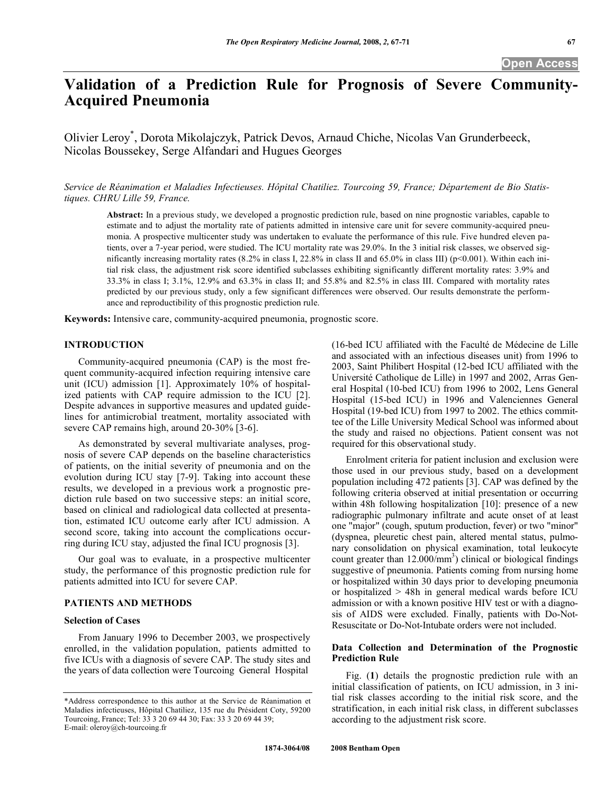# **Validation of a Prediction Rule for Prognosis of Severe Community-Acquired Pneumonia**

Olivier Leroy\* , Dorota Mikolajczyk, Patrick Devos, Arnaud Chiche, Nicolas Van Grunderbeeck, Nicolas Boussekey, Serge Alfandari and Hugues Georges

*Service de Réanimation et Maladies Infectieuses. Hôpital Chatiliez. Tourcoing 59, France; Département de Bio Statistiques. CHRU Lille 59, France.* 

**Abstract:** In a previous study, we developed a prognostic prediction rule, based on nine prognostic variables, capable to estimate and to adjust the mortality rate of patients admitted in intensive care unit for severe community-acquired pneumonia. A prospective multicenter study was undertaken to evaluate the performance of this rule. Five hundred eleven patients, over a 7-year period, were studied. The ICU mortality rate was 29.0%. In the 3 initial risk classes, we observed significantly increasing mortality rates (8.2% in class I, 22.8% in class II and 65.0% in class III) ( $p$ <0.001). Within each initial risk class, the adjustment risk score identified subclasses exhibiting significantly different mortality rates: 3.9% and 33.3% in class I; 3.1%, 12.9% and 63.3% in class II; and 55.8% and 82.5% in class III. Compared with mortality rates predicted by our previous study, only a few significant differences were observed. Our results demonstrate the performance and reproductibility of this prognostic prediction rule.

**Keywords:** Intensive care, community-acquired pneumonia, prognostic score.

#### **INTRODUCTION**

 Community-acquired pneumonia (CAP) is the most frequent community-acquired infection requiring intensive care unit (ICU) admission [1]. Approximately 10% of hospitalized patients with CAP require admission to the ICU [2]. Despite advances in supportive measures and updated guidelines for antimicrobial treatment, mortality associated with severe CAP remains high, around 20-30% [3-6].

 As demonstrated by several multivariate analyses, prognosis of severe CAP depends on the baseline characteristics of patients, on the initial severity of pneumonia and on the evolution during ICU stay [7-9]. Taking into account these results, we developed in a previous work a prognostic prediction rule based on two successive steps: an initial score, based on clinical and radiological data collected at presentation, estimated ICU outcome early after ICU admission. A second score, taking into account the complications occurring during ICU stay, adjusted the final ICU prognosis [3].

 Our goal was to evaluate, in a prospective multicenter study, the performance of this prognostic prediction rule for patients admitted into ICU for severe CAP.

# **PATIENTS AND METHODS**

## **Selection of Cases**

 From January 1996 to December 2003, we prospectively enrolled, in the validation population, patients admitted to five ICUs with a diagnosis of severe CAP. The study sites and the years of data collection were Tourcoing General Hospital

(16-bed ICU affiliated with the Faculté de Médecine de Lille and associated with an infectious diseases unit) from 1996 to 2003, Saint Philibert Hospital (12-bed ICU affiliated with the Université Catholique de Lille) in 1997 and 2002, Arras General Hospital (10-bed ICU) from 1996 to 2002, Lens General Hospital (15-bed ICU) in 1996 and Valenciennes General Hospital (19-bed ICU) from 1997 to 2002. The ethics committee of the Lille University Medical School was informed about the study and raised no objections. Patient consent was not required for this observational study.

 Enrolment criteria for patient inclusion and exclusion were those used in our previous study, based on a development population including 472 patients [3]. CAP was defined by the following criteria observed at initial presentation or occurring within 48h following hospitalization [10]: presence of a new radiographic pulmonary infiltrate and acute onset of at least one "major" (cough, sputum production, fever) or two "minor" (dyspnea, pleuretic chest pain, altered mental status, pulmonary consolidation on physical examination, total leukocyte count greater than  $12.000/\text{mm}^3$ ) clinical or biological findings suggestive of pneumonia. Patients coming from nursing home or hospitalized within 30 days prior to developing pneumonia or hospitalized > 48h in general medical wards before ICU admission or with a known positive HIV test or with a diagnosis of AIDS were excluded. Finally, patients with Do-Not-Resuscitate or Do-Not-Intubate orders were not included.

#### **Data Collection and Determination of the Prognostic Prediction Rule**

 Fig. (**1**) details the prognostic prediction rule with an initial classification of patients, on ICU admission, in 3 initial risk classes according to the initial risk score, and the stratification, in each initial risk class, in different subclasses according to the adjustment risk score.

<sup>\*</sup>Address correspondence to this author at the Service de Réanimation et Maladies infectieuses, Hôpital Chatiliez, 135 rue du Président Coty, 59200 Tourcoing, France; Tel: 33 3 20 69 44 30; Fax: 33 3 20 69 44 39; E-mail: oleroy@ch-tourcoing.fr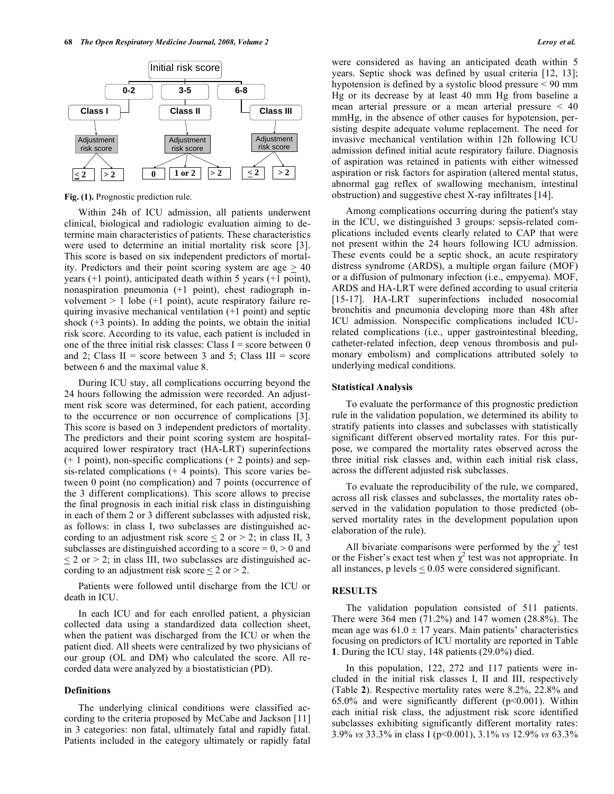

**Fig. (1).** Prognostic prediction rule.

 Within 24h of ICU admission, all patients underwent clinical, biological and radiologic evaluation aiming to determine main characteristics of patients. These characteristics were used to determine an initial mortality risk score [3]. This score is based on six independent predictors of mortality. Predictors and their point scoring system are age  $\geq 40$ years (+1 point), anticipated death within 5 years (+1 point), nonaspiration pneumonia (+1 point), chest radiograph involvement  $> 1$  lobe (+1 point), acute respiratory failure requiring invasive mechanical ventilation (+1 point) and septic shock  $(+3 \text{ points})$ . In adding the points, we obtain the initial risk score. According to its value, each patient is included in one of the three initial risk classes: Class  $I = score$  between 0 and 2; Class  $II = score$  between 3 and 5; Class  $III = score$ between 6 and the maximal value 8.

 During ICU stay, all complications occurring beyond the 24 hours following the admission were recorded. An adjustment risk score was determined, for each patient, according to the occurrence or non occurrence of complications [3]. This score is based on 3 independent predictors of mortality. The predictors and their point scoring system are hospitalacquired lower respiratory tract (HA-LRT) superinfections  $(+ 1$  point), non-specific complications  $(+ 2$  points) and sepsis-related complications  $(+ 4 \text{ points})$ . This score varies between 0 point (no complication) and 7 points (occurrence of the 3 different complications). This score allows to precise the final prognosis in each initial risk class in distinguishing in each of them 2 or 3 different subclasses with adjusted risk, as follows: in class I, two subclasses are distinguished according to an adjustment risk score  $\leq 2$  or  $\geq 2$ ; in class II, 3 subclasses are distinguished according to a score  $= 0, > 0$  and  $\leq$  2 or > 2; in class III, two subclasses are distinguished according to an adjustment risk score  $\leq 2$  or  $> 2$ .

 Patients were followed until discharge from the ICU or death in ICU.

 In each ICU and for each enrolled patient, a physician collected data using a standardized data collection sheet, when the patient was discharged from the ICU or when the patient died. All sheets were centralized by two physicians of our group (OL and DM) who calculated the score. All recorded data were analyzed by a biostatistician (PD).

#### **Definitions**

 The underlying clinical conditions were classified according to the criteria proposed by McCabe and Jackson [11] in 3 categories: non fatal, ultimately fatal and rapidly fatal. Patients included in the category ultimately or rapidly fatal were considered as having an anticipated death within 5 years. Septic shock was defined by usual criteria [12, 13]; hypotension is defined by a systolic blood pressure < 90 mm Hg or its decrease by at least 40 mm Hg from baseline a mean arterial pressure or a mean arterial pressure < 40 mmHg, in the absence of other causes for hypotension, persisting despite adequate volume replacement. The need for invasive mechanical ventilation within 12h following ICU admission defined initial acute respiratory failure. Diagnosis of aspiration was retained in patients with either witnessed aspiration or risk factors for aspiration (altered mental status, abnormal gag reflex of swallowing mechanism, intestinal obstruction) and suggestive chest X-ray infiltrates [14].

 Among complications occurring during the patient's stay in the ICU, we distinguished 3 groups: sepsis-related complications included events clearly related to CAP that were not present within the 24 hours following ICU admission. These events could be a septic shock, an acute respiratory distress syndrome (ARDS), a multiple organ failure (MOF) or a diffusion of pulmonary infection (i.e., empyema). MOF, ARDS and HA-LRT were defined according to usual criteria [15-17]. HA-LRT superinfections included nosocomial bronchitis and pneumonia developing more than 48h after ICU admission. Nonspecific complications included ICUrelated complications (i.e., upper gastrointestinal bleeding, catheter-related infection, deep venous thrombosis and pulmonary embolism) and complications attributed solely to underlying medical conditions.

#### **Statistical Analysis**

 To evaluate the performance of this prognostic prediction rule in the validation population, we determined its ability to stratify patients into classes and subclasses with statistically significant different observed mortality rates. For this purpose, we compared the mortality rates observed across the three initial risk classes and, within each initial risk class, across the different adjusted risk subclasses.

 To evaluate the reproducibility of the rule, we compared, across all risk classes and subclasses, the mortality rates observed in the validation population to those predicted (observed mortality rates in the development population upon elaboration of the rule).

All bivariate comparisons were performed by the  $\chi^2$  test or the Fisher's exact test when  $\chi^2$  test was not appropriate. In all instances, p levels  $\leq 0.05$  were considered significant.

#### **RESULTS**

 The validation population consisted of 511 patients. There were 364 men (71.2%) and 147 women (28.8%). The mean age was  $61.0 \pm 17$  years. Main patients' characteristics focusing on predictors of ICU mortality are reported in Table **1**. During the ICU stay, 148 patients (29.0%) died.

 In this population, 122, 272 and 117 patients were included in the initial risk classes I, II and III, respectively (Table **2**). Respective mortality rates were 8.2%, 22.8% and 65.0% and were significantly different  $(p<0.001)$ . Within each initial risk class, the adjustment risk score identified subclasses exhibiting significantly different mortality rates: 3.9% *vs* 33.3% in class I (p<0.001), 3.1% *vs* 12.9% *vs* 63.3%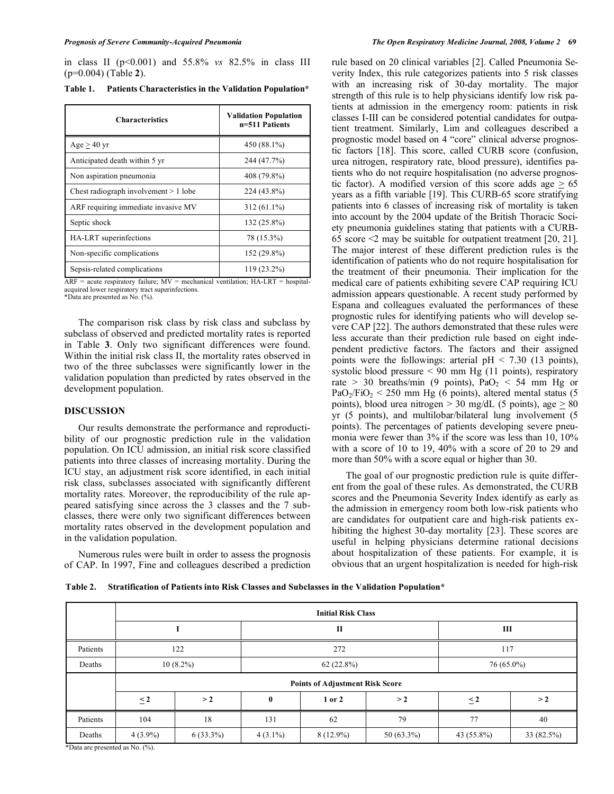in class II (p<0.001) and 55.8% *vs* 82.5% in class III (p=0.004) (Table **2**).

**Table 1. Patients Characteristics in the Validation Population\*** 

| <b>Characteristics</b>                | <b>Validation Population</b><br>n=511 Patients |  |
|---------------------------------------|------------------------------------------------|--|
| $Age > 40$ yr                         | 450 (88.1%)                                    |  |
| Anticipated death within 5 yr         | 244 (47.7%)                                    |  |
| Non aspiration pneumonia              | 408 (79.8%)                                    |  |
| Chest radiograph involvement > 1 lobe | 224 (43.8%)                                    |  |
| ARF requiring immediate invasive MV   | $312(61.1\%)$                                  |  |
| Septic shock                          | 132 (25.8%)                                    |  |
| HA-LRT superinfections                | 78 (15.3%)                                     |  |
| Non-specific complications            | 152 (29.8%)                                    |  |
| Sepsis-related complications          | 119 (23.2%)                                    |  |

 $ARF$  = acute respiratory failure;  $MV$  = mechanical ventilation;  $HA-LRT$  = hospitalacquired lower respiratory tract superinfections. \*Data are presented as No. (%).

 The comparison risk class by risk class and subclass by subclass of observed and predicted mortality rates is reported in Table **3**. Only two significant differences were found. Within the initial risk class II, the mortality rates observed in two of the three subclasses were significantly lower in the validation population than predicted by rates observed in the development population.

# **DISCUSSION**

 Our results demonstrate the performance and reproductibility of our prognostic prediction rule in the validation population. On ICU admission, an initial risk score classified patients into three classes of increasing mortality. During the ICU stay, an adjustment risk score identified, in each initial risk class, subclasses associated with significantly different mortality rates. Moreover, the reproducibility of the rule appeared satisfying since across the 3 classes and the 7 subclasses, there were only two significant differences between mortality rates observed in the development population and in the validation population.

 Numerous rules were built in order to assess the prognosis of CAP. In 1997, Fine and colleagues described a prediction

rule based on 20 clinical variables [2]. Called Pneumonia Severity Index, this rule categorizes patients into 5 risk classes with an increasing risk of 30-day mortality. The major strength of this rule is to help physicians identify low risk patients at admission in the emergency room: patients in risk classes I-III can be considered potential candidates for outpatient treatment. Similarly, Lim and colleagues described a prognostic model based on 4 "core" clinical adverse prognostic factors [18]. This score, called CURB score (confusion, urea nitrogen, respiratory rate, blood pressure), identifies patients who do not require hospitalisation (no adverse prognostic factor). A modified version of this score adds age  $\geq 65$ years as a fifth variable [19]. This CURB-65 score stratifying patients into 6 classes of increasing risk of mortality is taken into account by the 2004 update of the British Thoracic Society pneumonia guidelines stating that patients with a CURB-65 score  $\leq$  may be suitable for outpatient treatment [20, 21]. The major interest of these different prediction rules is the identification of patients who do not require hospitalisation for the treatment of their pneumonia. Their implication for the medical care of patients exhibiting severe CAP requiring ICU admission appears questionable. A recent study performed by Espana and colleagues evaluated the performances of these prognostic rules for identifying patients who will develop severe CAP [22]. The authors demonstrated that these rules were less accurate than their prediction rule based on eight independent predictive factors. The factors and their assigned points were the followings: arterial  $pH < 7.30$  (13 points), systolic blood pressure < 90 mm Hg (11 points), respiratory rate > 30 breaths/min (9 points),  $PaO<sub>2</sub> < 54$  mm Hg or  $PaO<sub>2</sub>/FiO<sub>2</sub> < 250$  mm Hg (6 points), altered mental status (5 points), blood urea nitrogen  $>$  30 mg/dL (5 points), age  $>$  80 yr (5 points), and multilobar/bilateral lung involvement (5 points). The percentages of patients developing severe pneumonia were fewer than 3% if the score was less than 10, 10% with a score of 10 to 19, 40% with a score of 20 to 29 and more than 50% with a score equal or higher than 30.

 The goal of our prognostic prediction rule is quite different from the goal of these rules. As demonstrated, the CURB scores and the Pneumonia Severity Index identify as early as the admission in emergency room both low-risk patients who are candidates for outpatient care and high-risk patients exhibiting the highest 30-day mortality [23]. These scores are useful in helping physicians determine rational decisions about hospitalization of these patients. For example, it is obvious that an urgent hospitalization is needed for high-risk

**Table 2. Stratification of Patients into Risk Classes and Subclasses in the Validation Population\***

|                                                                                 | <b>Initial Risk Class</b>              |             |            |             |            |            |            |
|---------------------------------------------------------------------------------|----------------------------------------|-------------|------------|-------------|------------|------------|------------|
|                                                                                 |                                        |             | П          |             |            | Ш          |            |
| Patients                                                                        |                                        | 122         | 272        |             |            | 117        |            |
| Deaths                                                                          |                                        | $10(8.2\%)$ | 62 (22.8%) |             | 76 (65.0%) |            |            |
|                                                                                 | <b>Points of Adjustment Risk Score</b> |             |            |             |            |            |            |
|                                                                                 | $\leq$ 2                               | >2          | $\bf{0}$   | 1 or 2      | >2         | $\leq$ 2   | >2         |
| Patients                                                                        | 104                                    | 18          | 131        | 62          | 79         | 77         | 40         |
| Deaths<br>$*D_{11}$ $\ldots$ $\ldots$ $\ldots$ $\ldots$ $I_{n}$ $N_{n}$ $(0/2)$ | $4(3.9\%)$                             | $6(33.3\%)$ | $4(3.1\%)$ | $8(12.9\%)$ | 50 (63.3%) | 43 (55.8%) | 33 (82.5%) |

\*Data are presented as No. (%).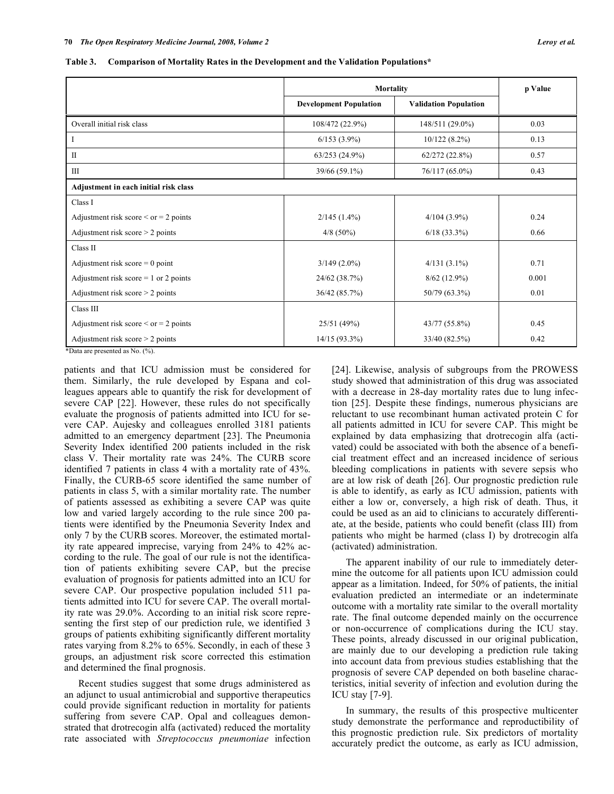**Table 3. Comparison of Mortality Rates in the Development and the Validation Populations\*** 

|                                             | <b>Mortality</b>              |                              | p Value |
|---------------------------------------------|-------------------------------|------------------------------|---------|
|                                             | <b>Development Population</b> | <b>Validation Population</b> |         |
| Overall initial risk class                  | 108/472 (22.9%)               | 148/511 (29.0%)              | 0.03    |
|                                             | $6/153(3.9\%)$                | 10/122(8.2%)                 | 0.13    |
| $\mathbf{I}$                                | 63/253(24.9%)                 | 62/272(22.8%)                | 0.57    |
| Ш                                           | 39/66 (59.1%)                 | $76/117(65.0\%)$             | 0.43    |
| Adjustment in each initial risk class       |                               |                              |         |
| Class I                                     |                               |                              |         |
| Adjustment risk score $\le$ or $=$ 2 points | $2/145(1.4\%)$                | $4/104(3.9\%)$               | 0.24    |
| Adjustment risk score $>$ 2 points          | $4/8$ (50%)                   | $6/18$ (33.3%)               | 0.66    |
| Class II                                    |                               |                              |         |
| Adjustment risk score $= 0$ point           | $3/149(2.0\%)$                | $4/131(3.1\%)$               | 0.71    |
| Adjustment risk score $= 1$ or 2 points     | 24/62 (38.7%)                 | $8/62$ (12.9%)               | 0.001   |
| Adjustment risk score $>$ 2 points          | 36/42 (85.7%)                 | 50/79 (63.3%)                | 0.01    |
| Class III                                   |                               |                              |         |
| Adjustment risk score $\le$ or $=$ 2 points | 25/51 (49%)                   | 43/77 (55.8%)                | 0.45    |
| Adjustment risk score $>$ 2 points          | $14/15(93.3\%)$               | 33/40 (82.5%)                | 0.42    |

\*Data are presented as No. (%).

patients and that ICU admission must be considered for them. Similarly, the rule developed by Espana and colleagues appears able to quantify the risk for development of severe CAP [22]. However, these rules do not specifically evaluate the prognosis of patients admitted into ICU for severe CAP. Aujesky and colleagues enrolled 3181 patients admitted to an emergency department [23]. The Pneumonia Severity Index identified 200 patients included in the risk class V. Their mortality rate was 24%. The CURB score identified 7 patients in class 4 with a mortality rate of 43%. Finally, the CURB-65 score identified the same number of patients in class 5, with a similar mortality rate. The number of patients assessed as exhibiting a severe CAP was quite low and varied largely according to the rule since 200 patients were identified by the Pneumonia Severity Index and only 7 by the CURB scores. Moreover, the estimated mortality rate appeared imprecise, varying from 24% to 42% according to the rule. The goal of our rule is not the identification of patients exhibiting severe CAP, but the precise evaluation of prognosis for patients admitted into an ICU for severe CAP. Our prospective population included 511 patients admitted into ICU for severe CAP. The overall mortality rate was 29.0%. According to an initial risk score representing the first step of our prediction rule, we identified 3 groups of patients exhibiting significantly different mortality rates varying from 8.2% to 65%. Secondly, in each of these 3 groups, an adjustment risk score corrected this estimation and determined the final prognosis.

 Recent studies suggest that some drugs administered as an adjunct to usual antimicrobial and supportive therapeutics could provide significant reduction in mortality for patients suffering from severe CAP. Opal and colleagues demonstrated that drotrecogin alfa (activated) reduced the mortality rate associated with *Streptococcus pneumoniae* infection [24]. Likewise, analysis of subgroups from the PROWESS study showed that administration of this drug was associated with a decrease in 28-day mortality rates due to lung infection [25]. Despite these findings, numerous physicians are reluctant to use recombinant human activated protein C for all patients admitted in ICU for severe CAP. This might be explained by data emphasizing that drotrecogin alfa (activated) could be associated with both the absence of a beneficial treatment effect and an increased incidence of serious bleeding complications in patients with severe sepsis who are at low risk of death [26]. Our prognostic prediction rule is able to identify, as early as ICU admission, patients with either a low or, conversely, a high risk of death. Thus, it could be used as an aid to clinicians to accurately differentiate, at the beside, patients who could benefit (class III) from patients who might be harmed (class I) by drotrecogin alfa (activated) administration.

 The apparent inability of our rule to immediately determine the outcome for all patients upon ICU admission could appear as a limitation. Indeed, for 50% of patients, the initial evaluation predicted an intermediate or an indeterminate outcome with a mortality rate similar to the overall mortality rate. The final outcome depended mainly on the occurrence or non-occurrence of complications during the ICU stay. These points, already discussed in our original publication, are mainly due to our developing a prediction rule taking into account data from previous studies establishing that the prognosis of severe CAP depended on both baseline characteristics, initial severity of infection and evolution during the ICU stay [7-9].

 In summary, the results of this prospective multicenter study demonstrate the performance and reproductibility of this prognostic prediction rule. Six predictors of mortality accurately predict the outcome, as early as ICU admission,